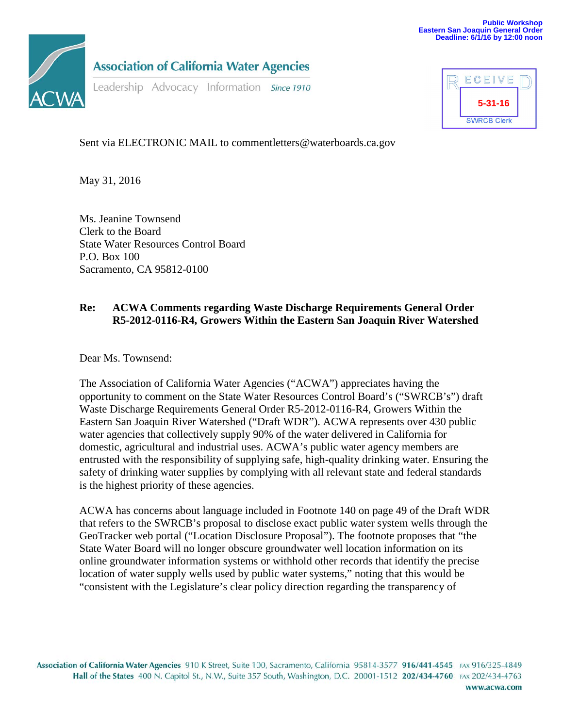

**Association of California Water Agencies** 

Leadership Advocacy Information Since 1910



Sent via ELECTRONIC MAIL to comment letters@waterboards.ca.gov

May 31, 2016

Ms. Jeanine Townsend Clerk to the Board State Water Resources Control Board P.O. Box 100 Sacramento, CA 95812-0100

## **Re: ACWA Comments regarding Waste Discharge Requirements General Order R5-2012-0116-R4, Growers Within the Eastern San Joaquin River Watershed**

Dear Ms. Townsend:

The Association of California Water Agencies ("ACWA") appreciates having the opportunity to comment on the State Water Resources Control Board's ("SWRCB's") draft Waste Discharge Requirements General Order R5-2012-0116-R4, Growers Within the Eastern San Joaquin River Watershed ("Draft WDR"). ACWA represents over 430 public water agencies that collectively supply 90% of the water delivered in California for domestic, agricultural and industrial uses. ACWA's public water agency members are entrusted with the responsibility of supplying safe, high-quality drinking water. Ensuring the safety of drinking water supplies by complying with all relevant state and federal standards is the highest priority of these agencies.

ACWA has concerns about language included in Footnote 140 on page 49 of the Draft WDR that refers to the SWRCB's proposal to disclose exact public water system wells through the GeoTracker web portal ("Location Disclosure Proposal"). The footnote proposes that "the State Water Board will no longer obscure groundwater well location information on its online groundwater information systems or withhold other records that identify the precise location of water supply wells used by public water systems," noting that this would be "consistent with the Legislature's clear policy direction regarding the transparency of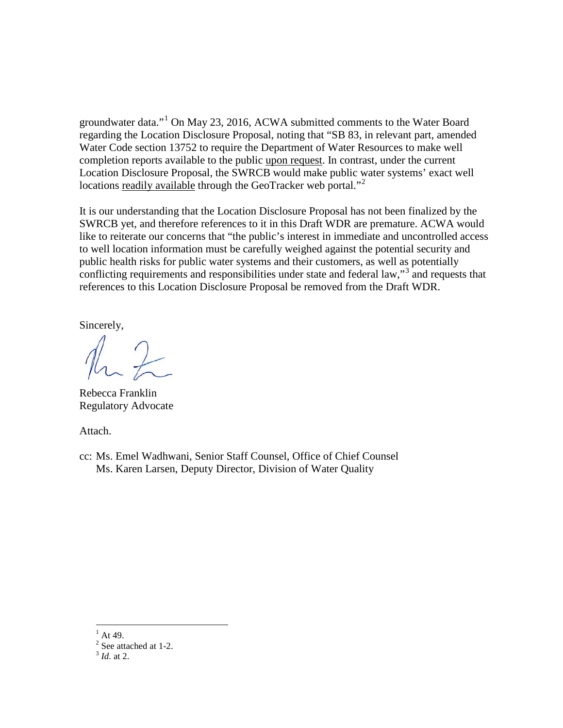groundwater data."[1](#page-1-0) On May 23, 2016, ACWA submitted comments to the Water Board regarding the Location Disclosure Proposal, noting that "SB 83, in relevant part, amended Water Code section 13752 to require the Department of Water Resources to make well completion reports available to the public upon request. In contrast, under the current Location Disclosure Proposal, the SWRCB would make public water systems' exact well locations readily available through the GeoTracker web portal."<sup>[2](#page-1-1)</sup>

It is our understanding that the Location Disclosure Proposal has not been finalized by the SWRCB yet, and therefore references to it in this Draft WDR are premature. ACWA would like to reiterate our concerns that "the public's interest in immediate and uncontrolled access to well location information must be carefully weighed against the potential security and public health risks for public water systems and their customers, as well as potentially conflicting requirements and responsibilities under state and federal law,"<sup>[3](#page-1-2)</sup> and requests that references to this Location Disclosure Proposal be removed from the Draft WDR.

Sincerely,

Rebecca Franklin Regulatory Advocate

Attach.

cc: Ms. Emel Wadhwani, Senior Staff Counsel, Office of Chief Counsel Ms. Karen Larsen, Deputy Director, Division of Water Quality

<span id="page-1-0"></span> $^{1}$  At 49.

<span id="page-1-1"></span> $\frac{2}{3}$  See attached at 1-2.

<span id="page-1-2"></span>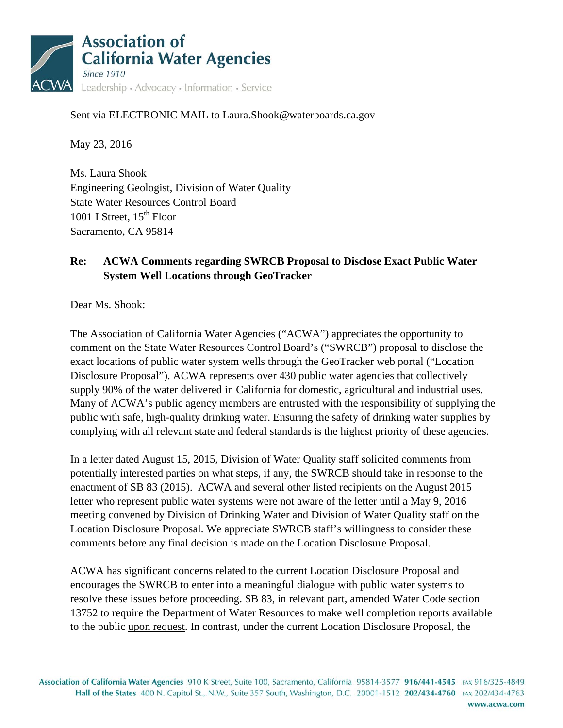

## Sent via ELECTRONIC MAIL to Laura.Shook@waterboards.ca.gov

May 23, 2016

Ms. Laura Shook Engineering Geologist, Division of Water Quality State Water Resources Control Board 1001 I Street,  $15<sup>th</sup>$  Floor Sacramento, CA 95814

## **Re: ACWA Comments regarding SWRCB Proposal to Disclose Exact Public Water System Well Locations through GeoTracker**

Dear Ms. Shook:

The Association of California Water Agencies ("ACWA") appreciates the opportunity to comment on the State Water Resources Control Board's ("SWRCB") proposal to disclose the exact locations of public water system wells through the GeoTracker web portal ("Location Disclosure Proposal"). ACWA represents over 430 public water agencies that collectively supply 90% of the water delivered in California for domestic, agricultural and industrial uses. Many of ACWA's public agency members are entrusted with the responsibility of supplying the public with safe, high-quality drinking water. Ensuring the safety of drinking water supplies by complying with all relevant state and federal standards is the highest priority of these agencies.

In a letter dated August 15, 2015, Division of Water Quality staff solicited comments from potentially interested parties on what steps, if any, the SWRCB should take in response to the enactment of SB 83 (2015). ACWA and several other listed recipients on the August 2015 letter who represent public water systems were not aware of the letter until a May 9, 2016 meeting convened by Division of Drinking Water and Division of Water Quality staff on the Location Disclosure Proposal. We appreciate SWRCB staff's willingness to consider these comments before any final decision is made on the Location Disclosure Proposal.

ACWA has significant concerns related to the current Location Disclosure Proposal and encourages the SWRCB to enter into a meaningful dialogue with public water systems to resolve these issues before proceeding. SB 83, in relevant part, amended Water Code section 13752 to require the Department of Water Resources to make well completion reports available to the public upon request. In contrast, under the current Location Disclosure Proposal, the